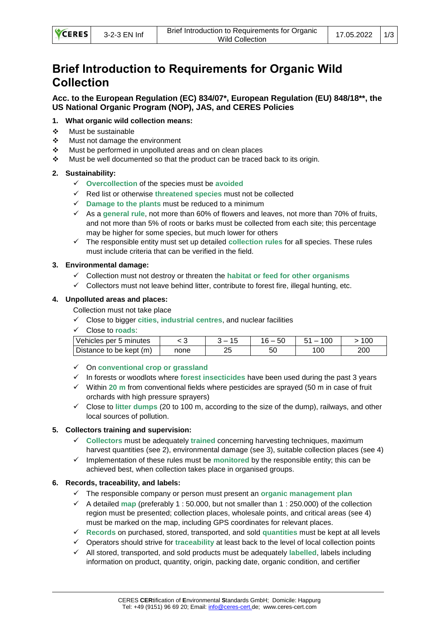| <b>VCERES</b> | 3-2-3 EN Inf | Brief Introduction to Requirements for Organic<br>Wild Collection | 17.05.2022   1/3 |  |
|---------------|--------------|-------------------------------------------------------------------|------------------|--|
|---------------|--------------|-------------------------------------------------------------------|------------------|--|

# **Brief Introduction to Requirements for Organic Wild Collection**

**Acc. to the European Regulation (EC) 834/07\*, European Regulation (EU) 848/18\*\*, the US National Organic Program (NOP), JAS, and CERES Policies**

- **1. What organic wild collection means:**
- ❖ Must be sustainable
- ❖ Must not damage the environment
- ❖ Must be performed in unpolluted areas and on clean places
- ❖ Must be well documented so that the product can be traced back to its origin.

# **2. Sustainability:**

- ✓ **Overcollection** of the species must be **avoided**
- ✓ Red list or otherwise **threatened species** must not be collected
- ✓ **Damage to the plants** must be reduced to a minimum
- ✓ As a **general rule**, not more than 60% of flowers and leaves, not more than 70% of fruits, and not more than 5% of roots or barks must be collected from each site; this percentage may be higher for some species, but much lower for others
- ✓ The responsible entity must set up detailed **collection rules** for all species. These rules must include criteria that can be verified in the field.

# **3. Environmental damage:**

- ✓ Collection must not destroy or threaten the **habitat or feed for other organisms**
- $\checkmark$  Collectors must not leave behind litter, contribute to forest fire, illegal hunting, etc.

# **4. Unpolluted areas and places:**

Collection must not take place

- ✓ Close to bigger **cities**, **industrial centres**, and nuclear facilities
- ✓ Close to **roads**:

| Vehicles per 5 minutes  | - 0  |         | 50<br>$\overline{\phantom{a}}$ |               | '00 |
|-------------------------|------|---------|--------------------------------|---------------|-----|
| Distance to be kept (m) | none | つに<br>∼ | 50                             | <sub>00</sub> | 200 |

## ✓ On **conventional crop or grassland**

- ✓ In forests or woodlots where **forest insecticides** have been used during the past 3 years
- ✓ Within **20 m** from conventional fields where pesticides are sprayed (50 m in case of fruit orchards with high pressure sprayers)
- $\checkmark$  Close to **litter dumps** (20 to 100 m, according to the size of the dump), railways, and other local sources of pollution.

## **5. Collectors training and supervision:**

- ✓ **Collectors** must be adequately **trained** concerning harvesting techniques, maximum harvest quantities (see 2), environmental damage (see 3), suitable collection places (see 4)
- ✓ Implementation of these rules must be **monitored** by the responsible entity; this can be achieved best, when collection takes place in organised groups.

# **6. Records, traceability, and labels:**

- ✓ The responsible company or person must present an **organic management plan**
- ✓ A detailed **map** (preferably 1 : 50.000, but not smaller than 1 : 250.000) of the collection region must be presented; collection places, wholesale points, and critical areas (see 4) must be marked on the map, including GPS coordinates for relevant places.
- ✓ **Records** on purchased, stored, transported, and sold **quantities** must be kept at all levels
- ✓ Operators should strive for **traceability** at least back to the level of local collection points
- ✓ All stored, transported, and sold products must be adequately **labelled**, labels including information on product, quantity, origin, packing date, organic condition, and certifier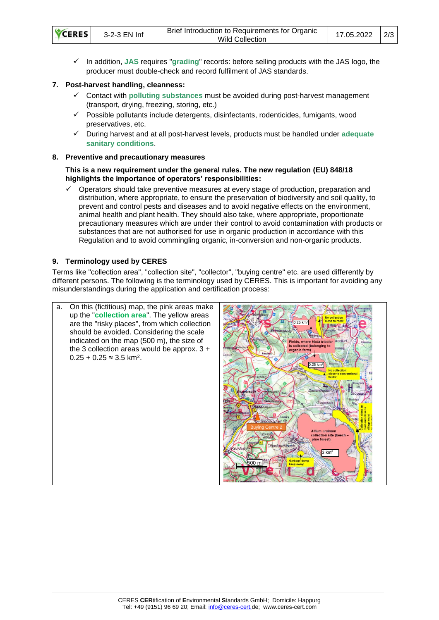| <b>VCERES</b> | 3-2-3 EN Inf | Brief Introduction to Requirements for Organic<br><b>Wild Collection</b> | 17.05.2022 | $\frac{2}{3}$ |
|---------------|--------------|--------------------------------------------------------------------------|------------|---------------|
|---------------|--------------|--------------------------------------------------------------------------|------------|---------------|

✓ In addition, **JAS** requires "**grading**" records: before selling products with the JAS logo, the producer must double-check and record fulfilment of JAS standards.

#### **7. Post-harvest handling, cleanness:**

- ✓ Contact with **polluting substances** must be avoided during post-harvest management (transport, drying, freezing, storing, etc.)
- $\checkmark$  Possible pollutants include detergents, disinfectants, rodenticides, fumigants, wood preservatives, etc.
- ✓ During harvest and at all post-harvest levels, products must be handled under **adequate sanitary conditions**.

## **8. Preventive and precautionary measures**

#### **This is a new requirement under the general rules. The new regulation (EU) 848/18 highlights the importance of operators' responsibilities:**

Operators should take preventive measures at every stage of production, preparation and distribution, where appropriate, to ensure the preservation of biodiversity and soil quality, to prevent and control pests and diseases and to avoid negative effects on the environment, animal health and plant health. They should also take, where appropriate, proportionate precautionary measures which are under their control to avoid contamination with products or substances that are not authorised for use in organic production in accordance with this Regulation and to avoid commingling organic, in-conversion and non-organic products.

## **9. Terminology used by CERES**

Terms like "collection area", "collection site", "collector", "buying centre" etc. are used differently by different persons. The following is the terminology used by CERES. This is important for avoiding any misunderstandings during the application and certification process: